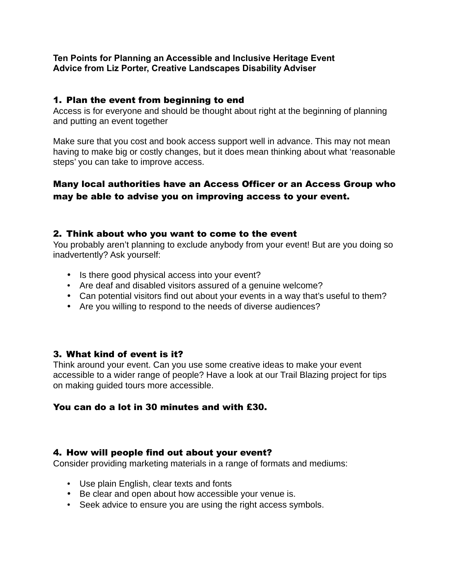#### **Ten Points for Planning an Accessible and Inclusive Heritage Event Advice from Liz Porter, Creative Landscapes Disability Adviser**

#### 1. Plan the event from beginning to end

Access is for everyone and should be thought about right at the beginning of planning and putting an event together

Make sure that you cost and book access support well in advance. This may not mean having to make big or costly changes, but it does mean thinking about what 'reasonable steps' you can take to improve access.

## Many local authorities have an Access Officer or an Access Group who may be able to advise you on improving access to your event.

#### 2. Think about who you want to come to the event

You probably aren't planning to exclude anybody from your event! But are you doing so inadvertently? Ask yourself:

- Is there good physical access into your event?
- Are deaf and disabled visitors assured of a genuine welcome?
- Can potential visitors find out about your events in a way that's useful to them?
- Are you willing to respond to the needs of diverse audiences?

#### 3. What kind of event is it?

Think around your event. Can you use some creative ideas to make your event accessible to a wider range of people? Have a look at our Trail Blazing project for tips on making guided tours more accessible.

#### You can do a lot in 30 minutes and with £30.

#### 4. How will people find out about your event?

Consider providing marketing materials in a range of formats and mediums:

- Use plain English, clear texts and fonts
- Be clear and open about how accessible your venue is.
- Seek advice to ensure you are using the right access symbols.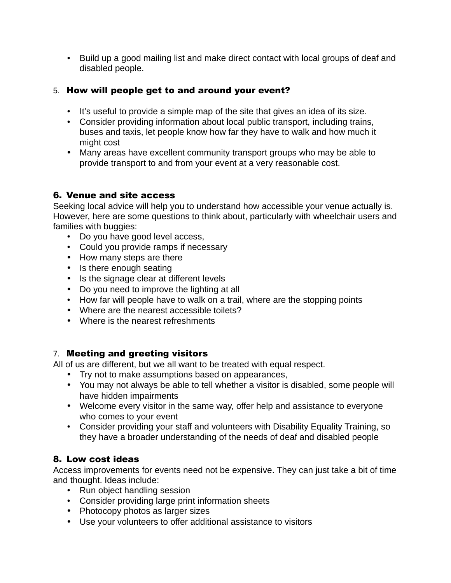• Build up a good mailing list and make direct contact with local groups of deaf and disabled people.

## 5. How will people get to and around your event?

- It's useful to provide a simple map of the site that gives an idea of its size.
- Consider providing information about local public transport, including trains, buses and taxis, let people know how far they have to walk and how much it might cost
- Many areas have excellent community transport groups who may be able to provide transport to and from your event at a very reasonable cost.

## 6. Venue and site access

Seeking local advice will help you to understand how accessible your venue actually is. However, here are some questions to think about, particularly with wheelchair users and families with buggies:

- Do you have good level access,
- Could you provide ramps if necessary
- How many steps are there
- Is there enough seating
- Is the signage clear at different levels
- Do you need to improve the lighting at all
- How far will people have to walk on a trail, where are the stopping points
- Where are the nearest accessible toilets?
- Where is the nearest refreshments

## 7. Meeting and greeting visitors

All of us are different, but we all want to be treated with equal respect.

- Try not to make assumptions based on appearances,
- You may not always be able to tell whether a visitor is disabled, some people will have hidden impairments
- Welcome every visitor in the same way, offer help and assistance to everyone who comes to your event
- Consider providing your staff and volunteers with Disability Equality Training, so they have a broader understanding of the needs of deaf and disabled people

# 8. Low cost ideas

Access improvements for events need not be expensive. They can just take a bit of time and thought. Ideas include:

- Run object handling session
- Consider providing large print information sheets
- Photocopy photos as larger sizes
- Use your volunteers to offer additional assistance to visitors